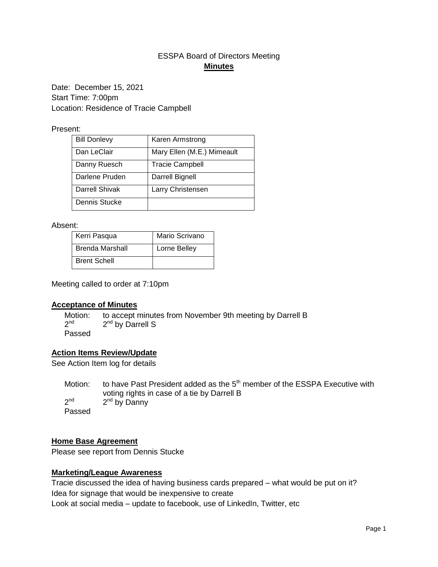## ESSPA Board of Directors Meeting **Minutes**

Date: December 15, 2021 Start Time: 7:00pm Location: Residence of Tracie Campbell

Present:

| <b>Bill Donlevy</b> | Karen Armstrong            |
|---------------------|----------------------------|
| Dan LeClair         | Mary Ellen (M.E.) Mimeault |
| Danny Ruesch        | <b>Tracie Campbell</b>     |
| Darlene Pruden      | Darrell Bignell            |
| Darrell Shivak      | Larry Christensen          |
| Dennis Stucke       |                            |

Absent:

| Kerri Pasqua           | Mario Scrivano |
|------------------------|----------------|
| <b>Brenda Marshall</b> | Lorne Belley   |
| <b>Brent Schell</b>    |                |

Meeting called to order at 7:10pm

## **Acceptance of Minutes**

Motion: to accept minutes from November 9th meeting by Darrell B  $2<sup>nd</sup>$  2  $2<sup>nd</sup>$  by Darrell S Passed

## **Action Items Review/Update**

See Action Item log for details

Motion: to have Past President added as the  $5<sup>th</sup>$  member of the ESSPA Executive with voting rights in case of a tie by Darrell B  $2<sup>nd</sup>$  2  $2<sup>nd</sup>$  by Danny Passed

#### **Home Base Agreement**

Please see report from Dennis Stucke

#### **Marketing/League Awareness**

Tracie discussed the idea of having business cards prepared – what would be put on it? Idea for signage that would be inexpensive to create Look at social media - update to facebook, use of LinkedIn, Twitter, etc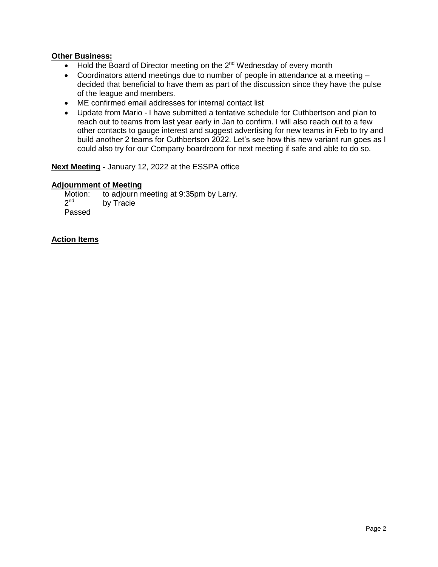#### **Other Business:**

- $\bullet$  Hold the Board of Director meeting on the 2<sup>nd</sup> Wednesday of every month
- Coordinators attend meetings due to number of people in attendance at a meeting decided that beneficial to have them as part of the discussion since they have the pulse of the league and members.
- ME confirmed email addresses for internal contact list
- Update from Mario I have submitted a tentative schedule for Cuthbertson and plan to reach out to teams from last year early in Jan to confirm. I will also reach out to a few other contacts to gauge interest and suggest advertising for new teams in Feb to try and build another 2 teams for Cuthbertson 2022. Let's see how this new variant run goes as I could also try for our Company boardroom for next meeting if safe and able to do so.

**Next Meeting -** January 12, 2022 at the ESSPA office

#### **Adjournment of Meeting**

Motion: to adjourn meeting at 9:35pm by Larry.  $2^{nd}$ by Tracie Passed

## **Action Items**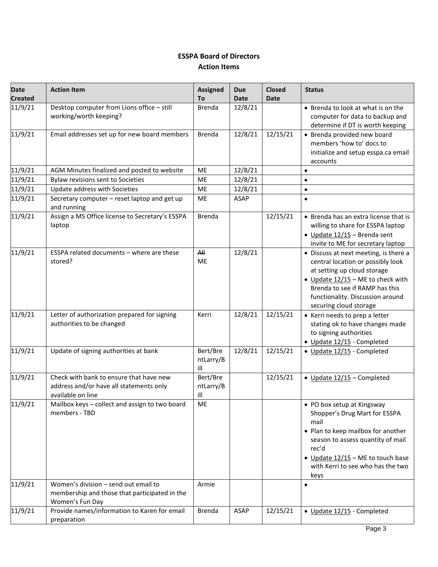## **ESSPA Board of Directors Action Items**

| <b>Date</b><br><b>Created</b> | <b>Action Item</b>                                                                                       | <b>Assigned</b><br>To        | <b>Due</b><br><b>Date</b> | <b>Closed</b><br><b>Date</b> | <b>Status</b>                                                                                                                                                                                                                                  |
|-------------------------------|----------------------------------------------------------------------------------------------------------|------------------------------|---------------------------|------------------------------|------------------------------------------------------------------------------------------------------------------------------------------------------------------------------------------------------------------------------------------------|
| 11/9/21                       | Desktop computer from Lions office - still<br>working/worth keeping?                                     | Brenda                       | 12/8/21                   |                              | • Brenda to look at what is on the<br>computer for data to backup and<br>determine if DT is worth keeping                                                                                                                                      |
| 11/9/21                       | Email addresses set up for new board members                                                             | Brenda                       | 12/8/21                   | 12/15/21                     | • Brenda provided new board<br>members 'how to' docs to<br>initialize and setup esspa.ca email<br>accounts                                                                                                                                     |
| 11/9/21                       | AGM Minutes finalized and posted to website                                                              | ME                           | 12/8/21                   |                              | $\bullet$                                                                                                                                                                                                                                      |
| 11/9/21                       | Bylaw revisions sent to Societies                                                                        | ME                           | 12/8/21                   |                              | $\bullet$                                                                                                                                                                                                                                      |
| 11/9/21                       | Update address with Societies                                                                            | ME                           | 12/8/21                   |                              | $\bullet$                                                                                                                                                                                                                                      |
| 11/9/21                       | Secretary computer - reset laptop and get up<br>and running                                              | ME                           | <b>ASAP</b>               |                              | $\bullet$                                                                                                                                                                                                                                      |
| 11/9/21                       | Assign a MS Office license to Secretary's ESSPA<br>laptop                                                | <b>Brenda</b>                |                           | 12/15/21                     | • Brenda has an extra license that is<br>willing to share for ESSPA laptop<br>• Update $12/15$ - Brenda sent<br>invite to ME for secretary laptop                                                                                              |
| 11/9/21                       | ESSPA related documents - where are these<br>stored?                                                     | AH<br>ME                     | 12/8/21                   |                              | • Discuss at next meeting, is there a<br>central location or possibly look<br>at setting up cloud storage<br>• Update 12/15 - ME to check with<br>Brenda to see if RAMP has this<br>functionality. Discussion around<br>securing cloud storage |
| 11/9/21                       | Letter of authorization prepared for signing<br>authorities to be changed                                | Kerri                        | 12/8/21                   | 12/15/21                     | • Kerri needs to prep a letter<br>stating ok to have changes made<br>to signing authorities<br>· Update 12/15 - Completed                                                                                                                      |
| 11/9/21                       | Update of signing authorities at bank                                                                    | Bert/Bre<br>ntLarry/B<br>ill | 12/8/21                   | 12/15/21                     | · Update 12/15 - Completed                                                                                                                                                                                                                     |
| 11/9/21                       | Check with bank to ensure that have new<br>address and/or have all statements only<br>available on line  | Bert/Bre<br>ntLarry/B<br>ill |                           | 12/15/21                     | • Update 12/15 - Completed                                                                                                                                                                                                                     |
| 11/9/21                       | Mailbox keys - collect and assign to two board<br>members - TBD                                          | ME                           |                           |                              | • PO box setup at Kingsway<br>Shopper's Drug Mart for ESSPA<br>mail<br>• Plan to keep mailbox for another<br>season to assess quantity of mail<br>rec'd<br>• Update 12/15 - ME to touch base<br>with Kerri to see who has the two<br>keys      |
| 11/9/21                       | Women's division - send out email to<br>membership and those that participated in the<br>Women's Fun Day | Armie                        |                           |                              | $\bullet$                                                                                                                                                                                                                                      |
| 11/9/21                       | Provide names/information to Karen for email<br>preparation                                              | Brenda                       | ASAP                      | 12/15/21                     | • Update 12/15 - Completed                                                                                                                                                                                                                     |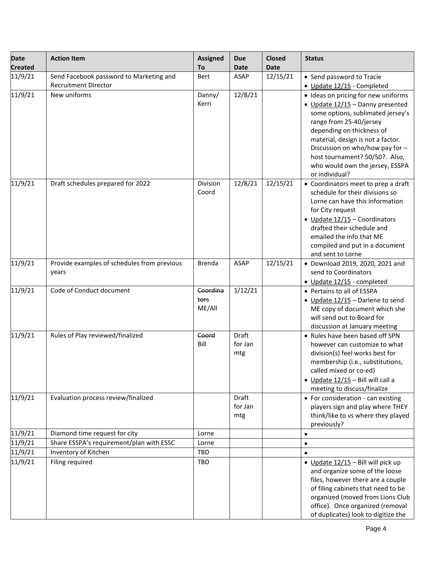| <b>Date</b><br><b>Created</b> | <b>Action Item</b>                                                     | <b>Assigned</b><br><b>To</b> | <b>Due</b><br><b>Date</b> | <b>Closed</b><br><b>Date</b> | <b>Status</b>                                                                                                                                                                                                                                                                                                                       |
|-------------------------------|------------------------------------------------------------------------|------------------------------|---------------------------|------------------------------|-------------------------------------------------------------------------------------------------------------------------------------------------------------------------------------------------------------------------------------------------------------------------------------------------------------------------------------|
| 11/9/21                       | Send Facebook password to Marketing and<br><b>Recruitment Director</b> | <b>Bert</b>                  | <b>ASAP</b>               | 12/15/21                     | • Send password to Tracie<br>· Update 12/15 - Completed                                                                                                                                                                                                                                                                             |
| 11/9/21                       | New uniforms                                                           | Danny/<br>Kerri              | 12/8/21                   |                              | · Ideas on pricing for new uniforms<br>• Update 12/15 - Danny presented<br>some options, sublimated jersey's<br>range from 25-40/jersey<br>depending on thickness of<br>material, design is not a factor.<br>Discussion on who/how pay for -<br>host tournament? 50/50?. Also,<br>who would own the jersey, ESSPA<br>or individual? |
| 11/9/21                       | Draft schedules prepared for 2022                                      | Division<br>Coord            | 12/8/21                   | 12/15/21                     | • Coordinators meet to prep a draft<br>schedule for their divisions so<br>Lorne can have this information<br>for City request<br>• Update 12/15 - Coordinators<br>drafted their schedule and<br>emailed the info that ME<br>compiled and put in a document<br>and sent to Lorne                                                     |
| 11/9/21                       | Provide examples of schedules from previous<br>years                   | <b>Brenda</b>                | <b>ASAP</b>               | 12/15/21                     | • Download 2019, 2020, 2021 and<br>send to Coordinators<br>· Update 12/15 - completed                                                                                                                                                                                                                                               |
| 11/9/21                       | Code of Conduct document                                               | Coordina<br>tors<br>ME/All   | 1/12/21                   |                              | • Pertains to all of ESSPA<br>• Update 12/15 - Darlene to send<br>ME copy of document which she<br>will send out to Board for<br>discussion at January meeting                                                                                                                                                                      |
| 11/9/21                       | Rules of Play reviewed/finalized                                       | Coord<br>Bill                | Draft<br>for Jan<br>mtg   |                              | • Rules have been based off SPN<br>however can customize to what<br>division(s) feel works best for<br>membership (i.e., substitutions,<br>called mixed or co-ed)<br>$\bullet$ Update $12/15$ - Bill will call a<br>meeting to discuss/finalize                                                                                     |
| 11/9/21                       | Evaluation process review/finalized                                    |                              | Draft<br>for Jan<br>mtg   |                              | • For consideration - can existing<br>players sign and play where THEY<br>think/like to vs where they played<br>previously?                                                                                                                                                                                                         |
| 11/9/21                       | Diamond time request for city                                          | Lorne                        |                           |                              | $\bullet$                                                                                                                                                                                                                                                                                                                           |
| 11/9/21                       | Share ESSPA's requirement/plan with ESSC                               | Lorne                        |                           |                              | $\bullet$                                                                                                                                                                                                                                                                                                                           |
| 11/9/21                       | Inventory of Kitchen                                                   | TBD                          |                           |                              | $\bullet$                                                                                                                                                                                                                                                                                                                           |
| 11/9/21                       | Filing required                                                        | <b>TBD</b>                   |                           |                              | • Update $12/15 -$ Bill will pick up<br>and organize some of the loose<br>files, however there are a couple<br>of filing cabinets that need to be<br>organized (moved from Lions Club<br>office). Once organized (removal<br>of duplicates) look to digitize the                                                                    |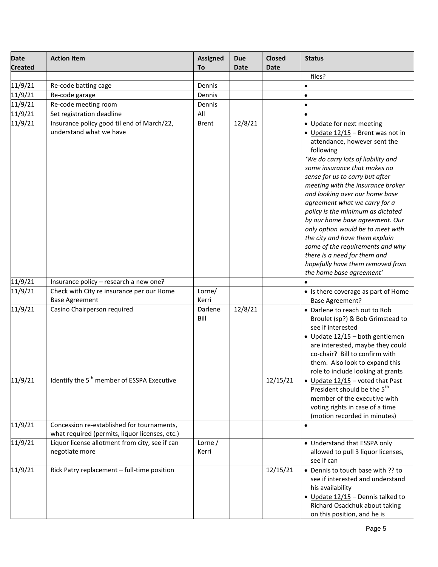| <b>Date</b><br><b>Created</b> | <b>Action Item</b>                                                                           | <b>Assigned</b><br>To  | <b>Due</b><br><b>Date</b> | <b>Closed</b><br><b>Date</b> | <b>Status</b>                                                                                                                                                                                                                                                                                                                                                                                                                                                                                                                                                                                                   |
|-------------------------------|----------------------------------------------------------------------------------------------|------------------------|---------------------------|------------------------------|-----------------------------------------------------------------------------------------------------------------------------------------------------------------------------------------------------------------------------------------------------------------------------------------------------------------------------------------------------------------------------------------------------------------------------------------------------------------------------------------------------------------------------------------------------------------------------------------------------------------|
|                               |                                                                                              |                        |                           |                              | files?                                                                                                                                                                                                                                                                                                                                                                                                                                                                                                                                                                                                          |
| 11/9/21                       | Re-code batting cage                                                                         | Dennis                 |                           |                              | $\bullet$                                                                                                                                                                                                                                                                                                                                                                                                                                                                                                                                                                                                       |
| 11/9/21                       | Re-code garage                                                                               | Dennis                 |                           |                              | $\bullet$                                                                                                                                                                                                                                                                                                                                                                                                                                                                                                                                                                                                       |
| 11/9/21                       | Re-code meeting room                                                                         | Dennis                 |                           |                              | $\bullet$                                                                                                                                                                                                                                                                                                                                                                                                                                                                                                                                                                                                       |
| 11/9/21                       | Set registration deadline                                                                    | All                    |                           |                              | $\bullet$                                                                                                                                                                                                                                                                                                                                                                                                                                                                                                                                                                                                       |
| 11/9/21                       | Insurance policy good til end of March/22,<br>understand what we have                        | <b>Brent</b>           | 12/8/21                   |                              | • Update for next meeting<br>• Update 12/15 - Brent was not in<br>attendance, however sent the<br>following<br>'We do carry lots of liability and<br>some insurance that makes no<br>sense for us to carry but after<br>meeting with the insurance broker<br>and looking over our home base<br>agreement what we carry for a<br>policy is the minimum as dictated<br>by our home base agreement. Our<br>only option would be to meet with<br>the city and have them explain<br>some of the requirements and why<br>there is a need for them and<br>hopefully have them removed from<br>the home base agreement' |
| 11/9/21                       | Insurance policy - research a new one?                                                       |                        |                           |                              |                                                                                                                                                                                                                                                                                                                                                                                                                                                                                                                                                                                                                 |
| 11/9/21                       | Check with City re insurance per our Home<br><b>Base Agreement</b>                           | Lorne/<br>Kerri        |                           |                              | • Is there coverage as part of Home<br><b>Base Agreement?</b>                                                                                                                                                                                                                                                                                                                                                                                                                                                                                                                                                   |
| 11/9/21                       | Casino Chairperson required                                                                  | <b>Darlene</b><br>Bill | 12/8/21                   |                              | • Darlene to reach out to Rob<br>Broulet (sp?) & Bob Grimstead to<br>see if interested<br>• Update 12/15 - both gentlemen<br>are interested, maybe they could<br>co-chair? Bill to confirm with<br>them. Also look to expand this<br>role to include looking at grants                                                                                                                                                                                                                                                                                                                                          |
| 11/9/21                       | Identify the 5 <sup>th</sup> member of ESSPA Executive                                       |                        |                           | 12/15/21                     | • Update 12/15 - voted that Past<br>President should be the 5 <sup>th</sup><br>member of the executive with<br>voting rights in case of a time<br>(motion recorded in minutes)                                                                                                                                                                                                                                                                                                                                                                                                                                  |
| 11/9/21                       | Concession re-established for tournaments,<br>what required (permits, liquor licenses, etc.) |                        |                           |                              | $\bullet$                                                                                                                                                                                                                                                                                                                                                                                                                                                                                                                                                                                                       |
| 11/9/21                       | Liquor license allotment from city, see if can<br>negotiate more                             | Lorne $/$<br>Kerri     |                           |                              | • Understand that ESSPA only<br>allowed to pull 3 liquor licenses,<br>see if can                                                                                                                                                                                                                                                                                                                                                                                                                                                                                                                                |
| 11/9/21                       | Rick Patry replacement - full-time position                                                  |                        |                           | 12/15/21                     | • Dennis to touch base with ?? to<br>see if interested and understand<br>his availability<br>• Update 12/15 - Dennis talked to<br>Richard Osadchuk about taking<br>on this position, and he is                                                                                                                                                                                                                                                                                                                                                                                                                  |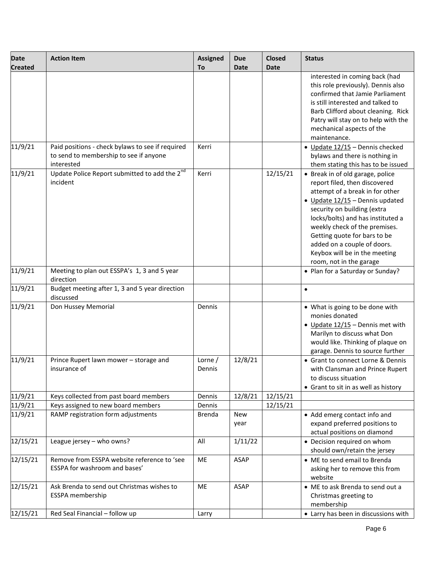| <b>Date</b><br><b>Created</b> | <b>Action Item</b>                                                                                       | <b>Assigned</b><br>To | <b>Due</b><br><b>Date</b> | <b>Closed</b><br><b>Date</b> | <b>Status</b>                                                                                                                                                                                                                                                                                                                                                           |
|-------------------------------|----------------------------------------------------------------------------------------------------------|-----------------------|---------------------------|------------------------------|-------------------------------------------------------------------------------------------------------------------------------------------------------------------------------------------------------------------------------------------------------------------------------------------------------------------------------------------------------------------------|
|                               |                                                                                                          |                       |                           |                              | interested in coming back (had<br>this role previously). Dennis also<br>confirmed that Jamie Parliament<br>is still interested and talked to<br>Barb Clifford about cleaning. Rick<br>Patry will stay on to help with the<br>mechanical aspects of the<br>maintenance.                                                                                                  |
| 11/9/21                       | Paid positions - check bylaws to see if required<br>to send to membership to see if anyone<br>interested | Kerri                 |                           |                              | • Update 12/15 - Dennis checked<br>bylaws and there is nothing in<br>them stating this has to be issued                                                                                                                                                                                                                                                                 |
| 11/9/21                       | Update Police Report submitted to add the 2 <sup>nd</sup><br>incident                                    | Kerri                 |                           | 12/15/21                     | • Break in of old garage, police<br>report filed, then discovered<br>attempt of a break in for other<br>· Update 12/15 - Dennis updated<br>security on building (extra<br>locks/bolts) and has instituted a<br>weekly check of the premises.<br>Getting quote for bars to be<br>added on a couple of doors.<br>Keybox will be in the meeting<br>room, not in the garage |
| 11/9/21                       | Meeting to plan out ESSPA's 1, 3 and 5 year<br>direction                                                 |                       |                           |                              | • Plan for a Saturday or Sunday?                                                                                                                                                                                                                                                                                                                                        |
| 11/9/21                       | Budget meeting after 1, 3 and 5 year direction<br>discussed                                              |                       |                           |                              | $\bullet$                                                                                                                                                                                                                                                                                                                                                               |
| 11/9/21                       | Don Hussey Memorial                                                                                      | Dennis                |                           |                              | • What is going to be done with<br>monies donated<br>• Update 12/15 - Dennis met with<br>Marilyn to discuss what Don<br>would like. Thinking of plaque on<br>garage. Dennis to source further                                                                                                                                                                           |
| 11/9/21                       | Prince Rupert lawn mower - storage and<br>insurance of                                                   | Lorne /<br>Dennis     | 12/8/21                   |                              | • Grant to connect Lorne & Dennis<br>with Clansman and Prince Rupert<br>to discuss situation<br>• Grant to sit in as well as history                                                                                                                                                                                                                                    |
| 11/9/21                       | Keys collected from past board members                                                                   | Dennis                | 12/8/21                   | 12/15/21                     |                                                                                                                                                                                                                                                                                                                                                                         |
| 11/9/21                       | Keys assigned to new board members                                                                       | Dennis                |                           | 12/15/21                     |                                                                                                                                                                                                                                                                                                                                                                         |
| 11/9/21                       | RAMP registration form adjustments                                                                       | Brenda                | New<br>year               |                              | • Add emerg contact info and<br>expand preferred positions to<br>actual positions on diamond                                                                                                                                                                                                                                                                            |
| 12/15/21                      | League jersey - who owns?                                                                                | All                   | 1/11/22                   |                              | • Decision required on whom<br>should own/retain the jersey                                                                                                                                                                                                                                                                                                             |
| 12/15/21                      | Remove from ESSPA website reference to 'see<br>ESSPA for washroom and bases'                             | <b>ME</b>             | ASAP                      |                              | • ME to send email to Brenda<br>asking her to remove this from<br>website                                                                                                                                                                                                                                                                                               |
| 12/15/21                      | Ask Brenda to send out Christmas wishes to<br>ESSPA membership                                           | ME                    | ASAP                      |                              | • ME to ask Brenda to send out a<br>Christmas greeting to<br>membership                                                                                                                                                                                                                                                                                                 |
| 12/15/21                      | Red Seal Financial - follow up                                                                           | Larry                 |                           |                              | • Larry has been in discussions with                                                                                                                                                                                                                                                                                                                                    |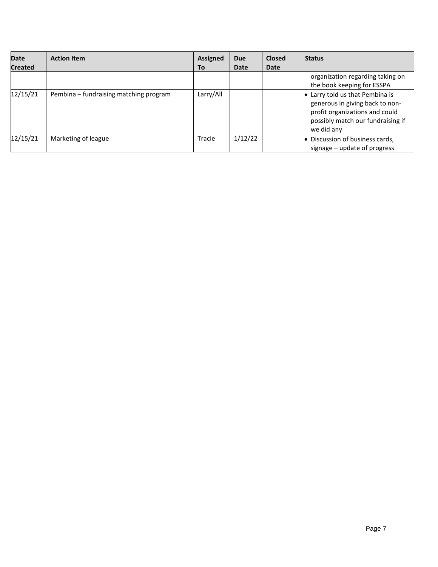| <b>Date</b><br><b>Created</b> | <b>Action Item</b>                     | <b>Assigned</b><br>To | <b>Due</b><br>Date | <b>Closed</b><br><b>Date</b> | <b>Status</b>                                                                                                                                           |
|-------------------------------|----------------------------------------|-----------------------|--------------------|------------------------------|---------------------------------------------------------------------------------------------------------------------------------------------------------|
|                               |                                        |                       |                    |                              | organization regarding taking on<br>the book keeping for ESSPA                                                                                          |
| 12/15/21                      | Pembina – fundraising matching program | Larry/All             |                    |                              | • Larry told us that Pembina is<br>generous in giving back to non-<br>profit organizations and could<br>possibly match our fundraising if<br>we did any |
| 12/15/21                      | Marketing of league                    | Tracie                | 1/12/22            |                              | • Discussion of business cards,<br>signage - update of progress                                                                                         |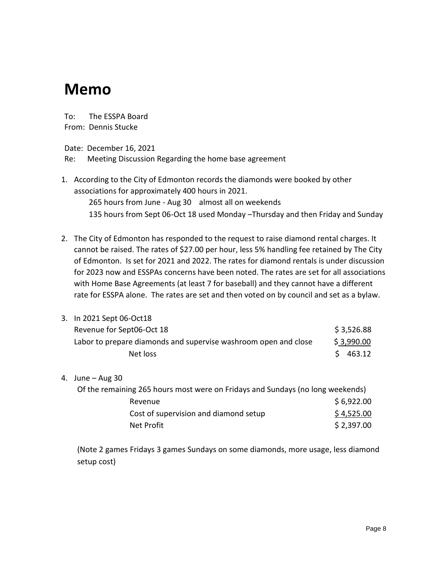# **Memo**

To: The ESSPA Board From: Dennis Stucke

Date: December 16, 2021

Re: Meeting Discussion Regarding the home base agreement

- 1. According to the City of Edmonton records the diamonds were booked by other associations for approximately 400 hours in 2021. 265 hours from June - Aug 30 almost all on weekends 135 hours from Sept 06-Oct 18 used Monday –Thursday and then Friday and Sunday
- 2. The City of Edmonton has responded to the request to raise diamond rental charges. It cannot be raised. The rates of \$27.00 per hour, less 5% handling fee retained by The City of Edmonton. Is set for 2021 and 2022. The rates for diamond rentals is under discussion for 2023 now and ESSPAs concerns have been noted. The rates are set for all associations with Home Base Agreements (at least 7 for baseball) and they cannot have a different rate for ESSPA alone. The rates are set and then voted on by council and set as a bylaw.

| 3. In 2021 Sept 06-Oct18                                        |                 |
|-----------------------------------------------------------------|-----------------|
| Revenue for Sept06-Oct 18                                       | \$3,526.88      |
| Labor to prepare diamonds and supervise washroom open and close | \$3,990.00      |
| Net loss                                                        | $5\quad 463.12$ |

## 4. June – Aug 30

Of the remaining 265 hours most were on Fridays and Sundays (no long weekends) Revenue \$ 6,922.00 Cost of supervision and diamond setup  $$4,525.00$  $Net Profit$   $$ 2,397.00$ 

(Note 2 games Fridays 3 games Sundays on some diamonds, more usage, less diamond setup cost)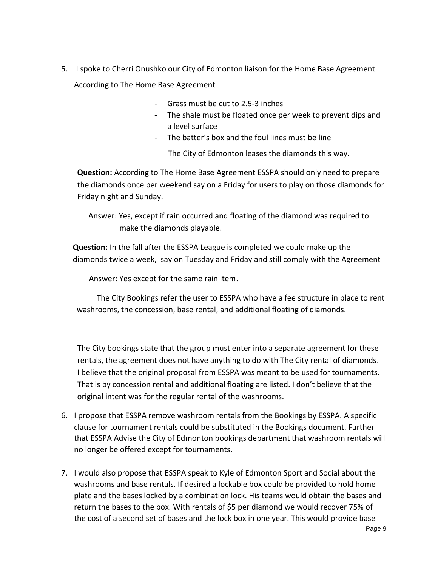- 5. I spoke to Cherri Onushko our City of Edmonton liaison for the Home Base Agreement According to The Home Base Agreement
	- Grass must be cut to 2.5-3 inches
	- The shale must be floated once per week to prevent dips and a level surface
	- The batter's box and the foul lines must be line

The City of Edmonton leases the diamonds this way.

**Question:** According to The Home Base Agreement ESSPA should only need to prepare the diamonds once per weekend say on a Friday for users to play on those diamonds for Friday night and Sunday.

 Answer: Yes, except if rain occurred and floating of the diamond was required to make the diamonds playable.

 **Question:** In the fall after the ESSPA League is completed we could make up the diamonds twice a week, say on Tuesday and Friday and still comply with the Agreement

Answer: Yes except for the same rain item.

 The City Bookings refer the user to ESSPA who have a fee structure in place to rent washrooms, the concession, base rental, and additional floating of diamonds.

The City bookings state that the group must enter into a separate agreement for these rentals, the agreement does not have anything to do with The City rental of diamonds. I believe that the original proposal from ESSPA was meant to be used for tournaments. That is by concession rental and additional floating are listed. I don't believe that the original intent was for the regular rental of the washrooms.

- 6. I propose that ESSPA remove washroom rentals from the Bookings by ESSPA. A specific clause for tournament rentals could be substituted in the Bookings document. Further that ESSPA Advise the City of Edmonton bookings department that washroom rentals will no longer be offered except for tournaments.
- 7. I would also propose that ESSPA speak to Kyle of Edmonton Sport and Social about the washrooms and base rentals. If desired a lockable box could be provided to hold home plate and the bases locked by a combination lock. His teams would obtain the bases and return the bases to the box. With rentals of \$5 per diamond we would recover 75% of the cost of a second set of bases and the lock box in one year. This would provide base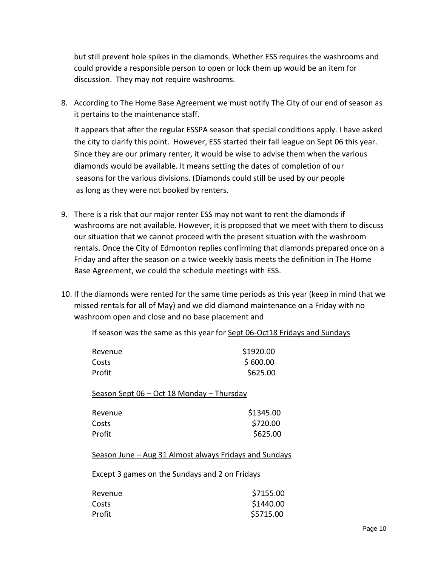but still prevent hole spikes in the diamonds. Whether ESS requires the washrooms and could provide a responsible person to open or lock them up would be an item for discussion. They may not require washrooms.

8. According to The Home Base Agreement we must notify The City of our end of season as it pertains to the maintenance staff.

It appears that after the regular ESSPA season that special conditions apply. I have asked the city to clarify this point. However, ESS started their fall league on Sept 06 this year. Since they are our primary renter, it would be wise to advise them when the various diamonds would be available. It means setting the dates of completion of our seasons for the various divisions. (Diamonds could still be used by our people as long as they were not booked by renters.

- 9. There is a risk that our major renter ESS may not want to rent the diamonds if washrooms are not available. However, it is proposed that we meet with them to discuss our situation that we cannot proceed with the present situation with the washroom rentals. Once the City of Edmonton replies confirming that diamonds prepared once on a Friday and after the season on a twice weekly basis meets the definition in The Home Base Agreement, we could the schedule meetings with ESS.
- 10. If the diamonds were rented for the same time periods as this year (keep in mind that we missed rentals for all of May) and we did diamond maintenance on a Friday with no washroom open and close and no base placement and

If season was the same as this year for **Sept 06-Oct18 Fridays and Sundays** 

| Revenue | \$1920.00 |
|---------|-----------|
| Costs   | \$600.00  |
| Profit  | \$625.00  |

Season Sept 06 – Oct 18 Monday – Thursday

| Revenue | \$1345.00 |
|---------|-----------|
| Costs   | \$720.00  |
| Profit  | \$625.00  |

Season June – Aug 31 Almost always Fridays and Sundays

Except 3 games on the Sundays and 2 on Fridays

| Revenue | \$7155.00 |
|---------|-----------|
| Costs   | \$1440.00 |
| Profit  | \$5715.00 |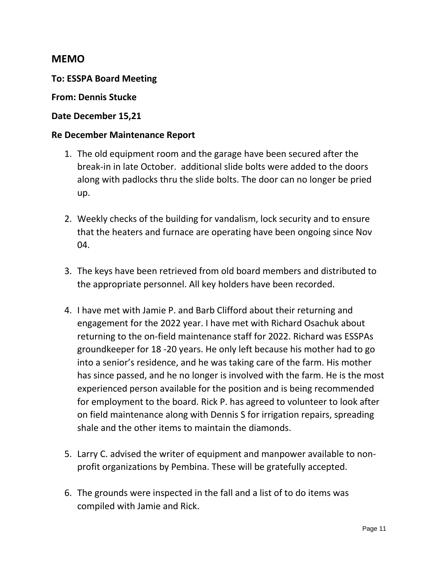# **MEMO**

## **To: ESSPA Board Meeting**

## **From: Dennis Stucke**

## **Date December 15,21**

## **Re December Maintenance Report**

- 1. The old equipment room and the garage have been secured after the break-in in late October. additional slide bolts were added to the doors along with padlocks thru the slide bolts. The door can no longer be pried up.
- 2. Weekly checks of the building for vandalism, lock security and to ensure that the heaters and furnace are operating have been ongoing since Nov 04.
- 3. The keys have been retrieved from old board members and distributed to the appropriate personnel. All key holders have been recorded.
- 4. I have met with Jamie P. and Barb Clifford about their returning and engagement for the 2022 year. I have met with Richard Osachuk about returning to the on-field maintenance staff for 2022. Richard was ESSPAs groundkeeper for 18 -20 years. He only left because his mother had to go into a senior's residence, and he was taking care of the farm. His mother has since passed, and he no longer is involved with the farm. He is the most experienced person available for the position and is being recommended for employment to the board. Rick P. has agreed to volunteer to look after on field maintenance along with Dennis S for irrigation repairs, spreading shale and the other items to maintain the diamonds.
- 5. Larry C. advised the writer of equipment and manpower available to nonprofit organizations by Pembina. These will be gratefully accepted.
- 6. The grounds were inspected in the fall and a list of to do items was compiled with Jamie and Rick.